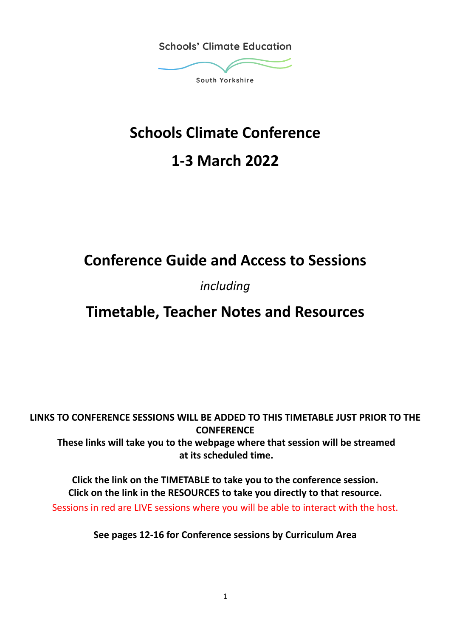

# **Schools Climate Conference**

# **1-3 March 2022**

# **Conference Guide and Access to Sessions**

# *including*

# **Timetable, Teacher Notes and Resources**

**LINKS TO CONFERENCE SESSIONS WILL BE ADDED TO THIS TIMETABLE JUST PRIOR TO THE CONFERENCE These links will take you to the webpage where that session will be streamed at its scheduled time.**

**Click the link on the TIMETABLE to take you to the conference session. Click on the link in the RESOURCES to take you directly to that resource.** Sessions in red are LIVE sessions where you will be able to interact with the host.

**See pages 12-16 for Conference sessions by Curriculum Area**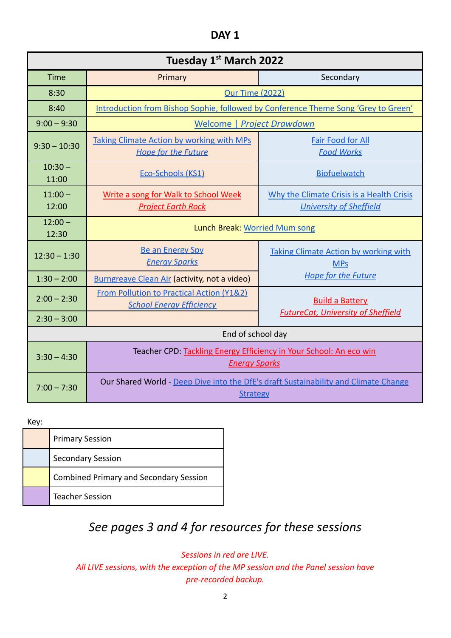| ۰, |  |
|----|--|
|----|--|

| Tuesday 1 <sup>st</sup> March 2022 |                                                                                                        |                                                                             |  |
|------------------------------------|--------------------------------------------------------------------------------------------------------|-----------------------------------------------------------------------------|--|
| <b>Time</b>                        | Primary                                                                                                | Secondary                                                                   |  |
| 8:30                               | <b>Our Time (2022)</b>                                                                                 |                                                                             |  |
| 8:40                               | Introduction from Bishop Sophie, followed by Conference Theme Song 'Grey to Green'                     |                                                                             |  |
| $9:00 - 9:30$                      |                                                                                                        | Welcome   Project Drawdown                                                  |  |
| $9:30 - 10:30$                     | <b>Taking Climate Action by working with MPs</b><br><b>Hope for the Future</b>                         | <b>Fair Food for All</b><br><b>Food Works</b>                               |  |
| $10:30 -$<br>11:00                 | Eco-Schools (KS1)                                                                                      | <b>Biofuelwatch</b>                                                         |  |
| $11:00 -$<br>12:00                 | Write a song for Walk to School Week<br><b>Project Earth Rock</b>                                      | Why the Climate Crisis is a Health Crisis<br><b>University of Sheffield</b> |  |
| $12:00 -$<br>12:30                 | Lunch Break: Worried Mum song                                                                          |                                                                             |  |
| $12:30 - 1:30$                     | <b>Be an Energy Spy</b><br><b>Energy Sparks</b>                                                        | <b>Taking Climate Action by working with</b><br><b>MPs</b>                  |  |
| $1:30 - 2:00$                      | <b>Burngreave Clean Air (activity, not a video)</b>                                                    | <b>Hope for the Future</b>                                                  |  |
| $2:00 - 2:30$                      | From Pollution to Practical Action (Y1&2)<br><b>School Energy Efficiency</b>                           | <b>Build a Battery</b>                                                      |  |
| $2:30 - 3:00$                      |                                                                                                        | <b>FutureCat, University of Sheffield</b>                                   |  |
| End of school day                  |                                                                                                        |                                                                             |  |
| $3:30 - 4:30$                      | Teacher CPD: Tackling Energy Efficiency in Your School: An eco win<br><b>Energy Sparks</b>             |                                                                             |  |
| $7:00 - 7:30$                      | Our Shared World - Deep Dive into the DfE's draft Sustainability and Climate Change<br><b>Strategy</b> |                                                                             |  |

# Key:

| <b>Primary Session</b>                        |
|-----------------------------------------------|
| <b>Secondary Session</b>                      |
| <b>Combined Primary and Secondary Session</b> |
| <b>Teacher Session</b>                        |

# *See pages 3 and 4 for resources for these sessions*

*Sessions in red are LIVE.*

*All LIVE sessions, with the exception of the MP session and the Panel session have pre-recorded backup.*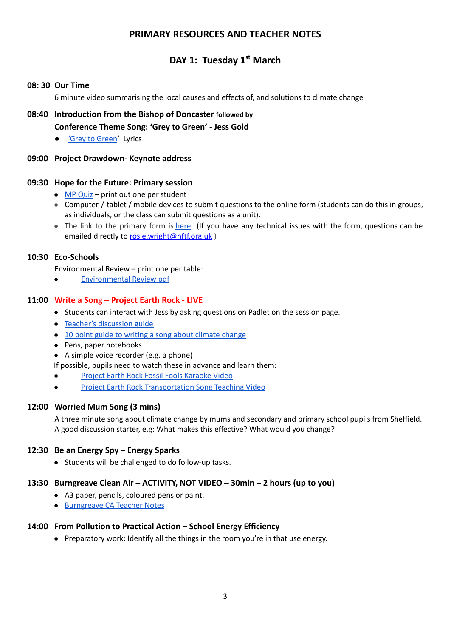# **PRIMARY RESOURCES AND TEACHER NOTES**

# **DAY 1: Tuesday 1 st March**

#### **08: 30 Our Time**

6 minute video summarising the local causes and effects of, and solutions to climate change

# **08:40 Introduction from the Bishop of Doncaster followed by Conference Theme Song: 'Grey to Green' - Jess Gold**

● 'Grey to [Green](https://www.scesy.org.uk/wp-content/uploads/2022/02/Grey-to-Green-Lyircs-Chords.pdf)' Lyrics

#### **09:00 Project Drawdown- Keynote address**

#### **09:30 Hope for the Future: Primary session**

- MP [Quiz](https://www.scesy.org.uk/wp-content/uploads/2022/02/HFTF-Primary-MP-Quiz.pdf) print out one per student
- Computer / tablet / mobile devices to submit questions to the online form (students can do this in groups, as individuals, or the class can submit questions as a unit).
- The link to the primary form is [here](https://forms.gle/sCL7TWmLtwg7TffR7). (If you have any technical issues with the form, questions can be emailed directly to [rosie.wright@hftf.org.uk](mailto:rosie.wright@hftf.org.uk))

#### **10:30 Eco-Schools**

Environmental Review – print one per table:

● [Environmental](https://www.scesy.org.uk/wp-content/uploads/2022/02/Eco-Schools-Primary-Environmental-Review.pdf) Review pdf

#### **11:00 Write a Song – Project Earth Rock - LIVE**

- Students can interact with Jess by asking questions on Padlet on the session page.
- Teacher's [discussion](https://www.scesy.org.uk/wp-content/uploads/2022/02/JG-Teachers-discussion-guide.pdf) guide
- 10 point guide to writing a song about [climate](https://www.scesy.org.uk/wp-content/uploads/2022/02/JG-The-PER-10-point-guide-to-CC-songwriting.pdf) change
- Pens, paper notebooks
- A simple voice recorder (e.g. a phone)

If possible, pupils need to watch these in advance and learn them:

- Project Earth Rock Fossil Fools [Karaoke](https://www.youtube.com/watch?v=X-Uh89LBMAo&list=PL1UMQUWOlvunVfY-BDJk42EASrIvgGrR7&index=16) Video
- Project Earth Rock [Transportation](https://www.youtube.com/watch?v=WLbKOH-jx-M&list=PL1UMQUWOlvunVfY-BDJk42EASrIvgGrR7&index=1) Song Teaching Video

#### **12:00 Worried Mum Song (3 mins)**

A three minute song about climate change by mums and secondary and primary school pupils from Sheffield. A good discussion starter, e.g: What makes this effective? What would you change?

#### **12:30 Be an Energy Spy – Energy Sparks**

● Students will be challenged to do follow-up tasks.

#### **13:30 Burngreave Clean Air – ACTIVITY, NOT VIDEO – 30min – 2 hours (up to you)**

- A3 paper, pencils, coloured pens or paint.
- [Burngreave](https://www.scesy.org.uk/wp-content/uploads/2022/02/Burngreave-CA-Teacher-Notes.pdf) CA Teacher Notes

#### **14:00 From Pollution to Practical Action – School Energy Efficiency**

● Preparatory work: Identify all the things in the room you're in that use energy.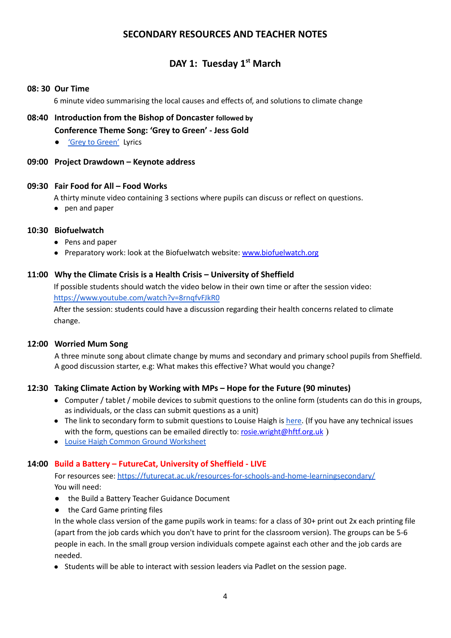# **SECONDARY RESOURCES AND TEACHER NOTES**

# **DAY 1: Tuesday 1 st March**

#### **08: 30 Our Time**

6 minute video summarising the local causes and effects of, and solutions to climate change

- **08:40 Introduction from the Bishop of Doncaster followed by Conference Theme Song: 'Grey to Green' - Jess Gold**
	- 'Grey to [Green'](https://www.scesy.org.uk/wp-content/uploads/2022/02/Grey-to-Green-Lyircs-Chords.pdf) Lyrics

#### **09:00 Project Drawdown – Keynote address**

#### **09:30 Fair Food for All – Food Works**

A thirty minute video containing 3 sections where pupils can discuss or reflect on questions.

● pen and paper

#### **10:30 Biofuelwatch**

- Pens and paper
- Preparatory work: look at the Biofuelwatch website: [www.biofuelwatch.org](http://www.biofuelwatch.org/)

#### **11:00 Why the Climate Crisis is a Health Crisis – University of Sheffield**

If possible students should watch the video below in their own time or after the session video: <https://www.youtube.com/watch?v=8rnqfvFJkR0>

After the session: students could have a discussion regarding their health concerns related to climate change.

#### **12:00 Worried Mum Song**

A three minute song about climate change by mums and secondary and primary school pupils from Sheffield. A good discussion starter, e.g: What makes this effective? What would you change?

#### **12:30 Taking Climate Action by Working with MPs – Hope for the Future (90 minutes)**

- Computer / tablet / mobile devices to submit questions to the online form (students can do this in groups, as individuals, or the class can submit questions as a unit)
- The link to secondary form to submit questions to Louise Haigh is [here.](https://forms.gle/4Fh5qSbjGu5yhJgp6) (If you have any technical issues with the form, questions can be emailed directly to: [rosie.wright@hftf.org.uk](mailto:rosie.wright@hftf.org.uk))
- Louise Haigh Common Ground [Worksheet](https://www.scesy.org.uk/wp-content/uploads/2022/02/SCESY-Louise-Haigh-Common-Ground.pdf)

# **14:00 Build a Battery – FutureCat, University of Sheffield - LIVE**

For resources see: <https://futurecat.ac.uk/resources-for-schools-and-home-learningsecondary/> You will need:

- the Build a Battery Teacher Guidance Document
- the Card Game printing files

In the whole class version of the game pupils work in teams: for a class of 30+ print out 2x each printing file (apart from the job cards which you don't have to print for the classroom version). The groups can be 5-6 people in each. In the small group version individuals compete against each other and the job cards are needed.

● Students will be able to interact with session leaders via Padlet on the session page.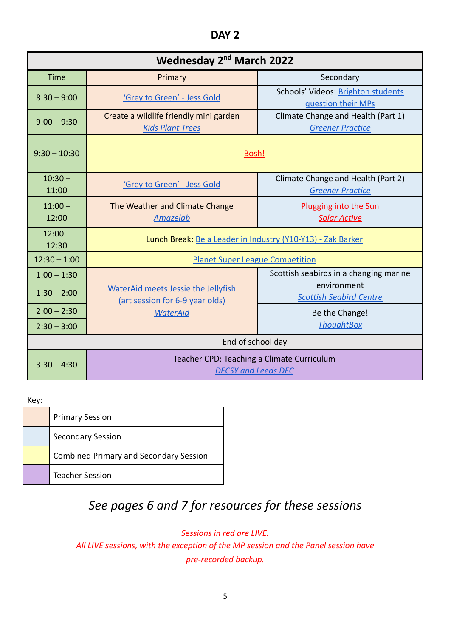| ۰, |  |
|----|--|
|----|--|

| Wednesday 2 <sup>nd</sup> March 2022 |                                                                               |                                                               |
|--------------------------------------|-------------------------------------------------------------------------------|---------------------------------------------------------------|
| Time                                 | Primary                                                                       | Secondary                                                     |
| $8:30 - 9:00$                        | 'Grey to Green' - Jess Gold                                                   | Schools' Videos: Brighton students<br>guestion their MPs      |
| $9:00 - 9:30$                        | Create a wildlife friendly mini garden<br><b>Kids Plant Trees</b>             | Climate Change and Health (Part 1)<br><b>Greener Practice</b> |
| $9:30 - 10:30$                       | Bosh!                                                                         |                                                               |
| $10:30 -$<br>11:00                   | 'Grey to Green' - Jess Gold                                                   | Climate Change and Health (Part 2)<br><b>Greener Practice</b> |
| $11:00 -$<br>12:00                   | The Weather and Climate Change<br><b>Amazelab</b>                             | Plugging into the Sun<br><b>Solar Active</b>                  |
| $12:00 -$<br>12:30                   | Lunch Break: Be a Leader in Industry (Y10-Y13) - Zak Barker                   |                                                               |
| $12:30 - 1:00$                       | <b>Planet Super League Competition</b>                                        |                                                               |
| $1:00 - 1:30$                        |                                                                               | Scottish seabirds in a changing marine                        |
| $1:30 - 2:00$                        | <b>WaterAid meets Jessie the Jellyfish</b><br>(art session for 6-9 year olds) | environment<br><b>Scottish Seabird Centre</b>                 |
| $2:00 - 2:30$                        | <b>WaterAid</b>                                                               | Be the Change!                                                |
| $2:30 - 3:00$                        |                                                                               | <b>ThoughtBox</b>                                             |
| End of school day                    |                                                                               |                                                               |
| $3:30 - 4:30$                        | Teacher CPD: Teaching a Climate Curriculum<br><b>DECSY and Leeds DEC</b>      |                                                               |

Key:

| <b>Primary Session</b>                        |
|-----------------------------------------------|
| <b>Secondary Session</b>                      |
| <b>Combined Primary and Secondary Session</b> |
| <b>Teacher Session</b>                        |

# *See pages 6 and 7 for resources for these sessions*

*Sessions in red are LIVE. All LIVE sessions, with the exception of the MP session and the Panel session have pre-recorded backup.*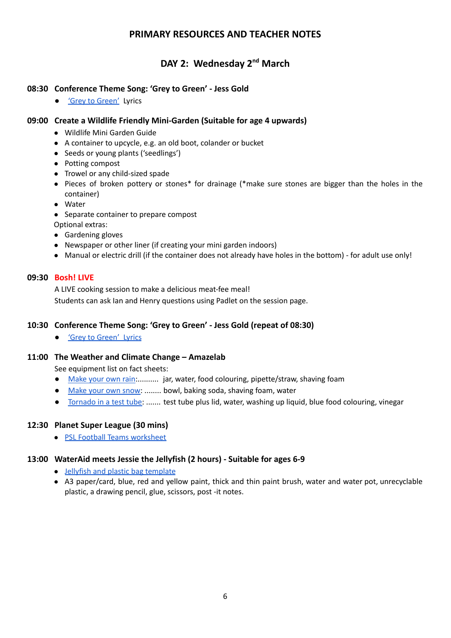# **PRIMARY RESOURCES AND TEACHER NOTES**

# **DAY 2: Wednesday 2<sup>nd</sup> March**

#### **08:30 Conference Theme Song: 'Grey to Green' - Jess Gold**

● <del>'Grey to [Green'](https://www.scesy.org.uk/wp-content/uploads/2022/02/Grey-to-Green-Lyircs-Chords.pdf)</del> Lyrics

#### **09:00 Create a Wildlife Friendly Mini-Garden (Suitable for age 4 upwards)**

- Wildlife Mini Garden Guide
- A container to upcycle, e.g. an old boot, colander or bucket
- Seeds or young plants ('seedlings')
- Potting compost
- Trowel or any child-sized spade
- Pieces of broken pottery or stones\* for drainage (\*make sure stones are bigger than the holes in the container)
- Water
- Separate container to prepare compost
- Optional extras:
- Gardening gloves
- Newspaper or other liner (if creating your mini garden indoors)
- Manual or electric drill (if the container does not already have holes in the bottom) for adult use only!

#### **09:30 Bosh! LIVE**

A LIVE cooking session to make a delicious meat-fee meal! Students can ask Ian and Henry questions using Padlet on the session page.

### **10:30 Conference Theme Song: 'Grey to Green' - Jess Gold (repeat of 08:30)**

● 'Grey to [Green'](https://www.scesy.org.uk/wp-content/uploads/2022/02/Grey-to-Green-Lyircs-Chords.pdf) Lyrics

#### **11:00 The Weather and Climate Change – Amazelab**

See equipment list on fact sheets:

- [Make](https://www.scesy.org.uk/wp-content/uploads/2022/02/Make_Your_Own_Rain_FS.pdf) your own rain:.......... jar, water, food colouring, pipette/straw, shaving foam
- [Make](https://www.scesy.org.uk/wp-content/uploads/2022/02/Make_Your_Own_Snow_FS-2.pdf) your own snow: ........ bowl, baking soda, shaving foam, water
- [Tornado](https://www.scesy.org.uk/wp-content/uploads/2022/02/Tornado_In_A_Test_Tube_FS.pdf) in a test tube: ....... test tube plus lid, water, washing up liquid, blue food colouring, vinegar

### **12:30 Planet Super League (30 mins)**

● PSL Football Teams [worksheet](https://www.scesy.org.uk/wp-content/uploads/2022/02/PSL-Football-teams-worksheet.pdf)

### **13:00 WaterAid meets Jessie the Jellyfish (2 hours) - Suitable for ages 6-9**

- Jellyfish and plastic bag [template](https://www.scesy.org.uk/wp-content/uploads/2022/02/Jellyfish-and-plastic-bag-template.pdf)
- A3 paper/card, blue, red and yellow paint, thick and thin paint brush, water and water pot, unrecyclable plastic, a drawing pencil, glue, scissors, post -it notes.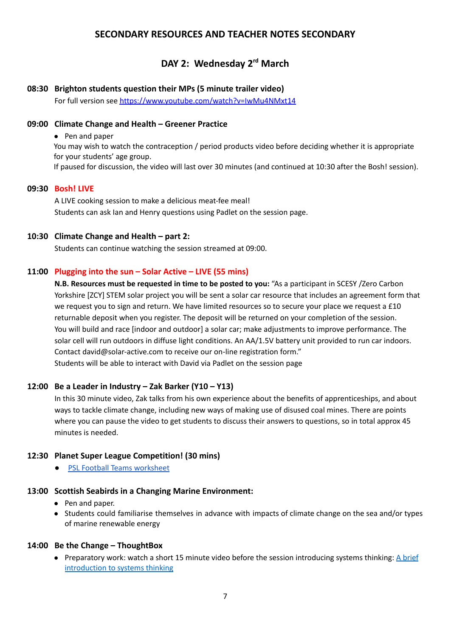# **SECONDARY RESOURCES AND TEACHER NOTES SECONDARY**

# **DAY 2: Wednesday 2 rd March**

#### **08:30 Brighton students question their MPs (5 minute trailer video)** For full version see <https://www.youtube.com/watch?v=IwMu4NMxt14>

#### **09:00 Climate Change and Health – Greener Practice**

● Pen and paper

You may wish to watch the contraception / period products video before deciding whether it is appropriate for your students' age group. If paused for discussion, the video will last over 30 minutes (and continued at 10:30 after the Bosh! session).

#### **09:30 Bosh! LIVE**

A LIVE cooking session to make a delicious meat-fee meal! Students can ask Ian and Henry questions using Padlet on the session page.

#### **10:30 Climate Change and Health – part 2:**

Students can continue watching the session streamed at 09:00.

#### **11:00 Plugging into the sun – Solar Active – LIVE (55 mins)**

**N.B. Resources must be requested in time to be posted to you:** "As a participant in SCESY /Zero Carbon Yorkshire [ZCY] STEM solar project you will be sent a solar car resource that includes an agreement form that we request you to sign and return. We have limited resources so to secure your place we request a £10 returnable deposit when you register. The deposit will be returned on your completion of the session. You will build and race [indoor and outdoor] a solar car; make adjustments to improve performance. The solar cell will run outdoors in diffuse light conditions. An AA/1.5V battery unit provided to run car indoors. Contact [david@solar-active.com](mailto:david@solar-active.com) to receive our on-line registration form." Students will be able to interact with David via Padlet on the session page

#### **12:00 Be a Leader in Industry – Zak Barker (Y10 – Y13)**

In this 30 minute video, Zak talks from his own experience about the benefits of apprenticeships, and about ways to tackle climate change, including new ways of making use of disused coal mines. There are points where you can pause the video to get students to discuss their answers to questions, so in total approx 45 minutes is needed.

#### **12:30 Planet Super League Competition! (30 mins)**

● PSL Football Teams [worksheet](https://www.scesy.org.uk/wp-content/uploads/2022/02/PSL-Football-teams-worksheet.pdf)

#### **13:00 Scottish Seabirds in a Changing Marine Environment:**

- Pen and paper.
- Students could familiarise themselves in advance with impacts of climate change on the sea and/or types of marine renewable energy

#### **14:00 Be the Change – ThoughtBox**

● Preparatory work: watch a short 15 minute video before the session introducing systems thinking: A [brief](https://youtu.be/TWyWOqZvx60) [introduction](https://youtu.be/TWyWOqZvx60) to systems thinking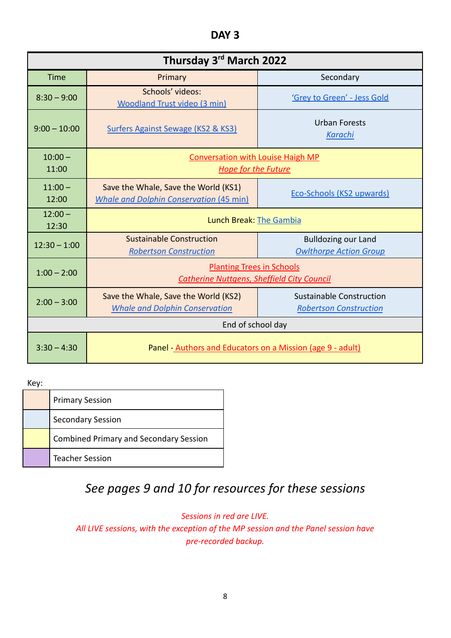**DAY 3**

| Thursday 3rd March 2022 |                                                                                        |                                                                  |
|-------------------------|----------------------------------------------------------------------------------------|------------------------------------------------------------------|
| <b>Time</b>             | Primary                                                                                | Secondary                                                        |
| $8:30 - 9:00$           | Schools' videos:<br><b>Woodland Trust video (3 min)</b>                                | 'Grey to Green' - Jess Gold                                      |
| $9:00 - 10:00$          | Surfers Against Sewage (KS2 & KS3)                                                     | Urban Forests<br><b>Karachi</b>                                  |
| $10:00 -$<br>11:00      | <b>Conversation with Louise Haigh MP</b><br><b>Hope for the Future</b>                 |                                                                  |
| $11:00 -$<br>12:00      | Save the Whale, Save the World (KS1)<br><b>Whale and Dolphin Conservation (45 min)</b> | <b>Eco-Schools (KS2 upwards)</b>                                 |
| $12:00 -$<br>12:30      | Lunch Break: The Gambia                                                                |                                                                  |
| $12:30 - 1:00$          | <b>Sustainable Construction</b><br><b>Robertson Construction</b>                       | <b>Bulldozing our Land</b><br><b>Owlthorpe Action Group</b>      |
| $1:00 - 2:00$           | <b>Planting Trees in Schools</b><br><b>Catherine Nuttgens, Sheffield City Council</b>  |                                                                  |
| $2:00 - 3:00$           | Save the Whale, Save the World (KS2)<br><b>Whale and Dolphin Conservation</b>          | <b>Sustainable Construction</b><br><b>Robertson Construction</b> |
| End of school day       |                                                                                        |                                                                  |
| $3:30 - 4:30$           | Panel - Authors and Educators on a Mission (age 9 - adult)                             |                                                                  |

Key:

| <b>Primary Session</b>                        |
|-----------------------------------------------|
| <b>Secondary Session</b>                      |
| <b>Combined Primary and Secondary Session</b> |
| <b>Teacher Session</b>                        |

# *See pages 9 and 10 for resources for these sessions*

*Sessions in red are LIVE. All LIVE sessions, with the exception of the MP session and the Panel session have pre-recorded backup.*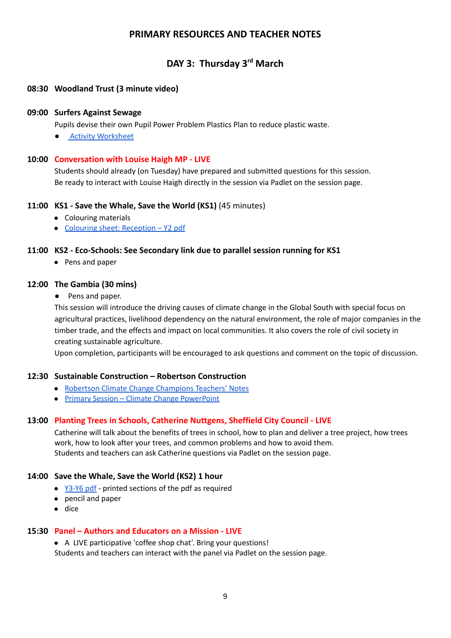# **PRIMARY RESOURCES AND TEACHER NOTES**

# **DAY 3: Thursday 3 rd March**

#### **08:30 Woodland Trust (3 minute video)**

#### **09:00 Surfers Against Sewage**

Pupils devise their own Pupil Power Problem Plastics Plan to reduce plastic waste.

**Activity [Worksheet](https://www.scesy.org.uk/wp-content/uploads/2022/02/Surfers-Against-Sewage-Plastic-Free-Schools-Activity-Worksheet.pdf)** 

#### **10:00 Conversation with Louise Haigh MP - LIVE**

Students should already (on Tuesday) have prepared and submitted questions for this session. Be ready to interact with Louise Haigh directly in the session via Padlet on the session page.

#### **11:00 KS1 - Save the Whale, Save the World (KS1)** (45 minutes)

- Colouring materials
- Colouring sheet: [Reception](https://www.scesy.org.uk/wp-content/uploads/2022/02/WDC-workshop-Save-the-whale-save-the-world-Reception-Y2.pdf) Y2 pdf

#### **11:00 KS2 - Eco-Schools: See Secondary link due to parallel session running for KS1**

● Pens and paper

#### **12:00 The Gambia (30 mins)**

● Pens and paper.

This session will introduce the driving causes of climate change in the Global South with special focus on agricultural practices, livelihood dependency on the natural environment, the role of major companies in the timber trade, and the effects and impact on local communities. It also covers the role of civil society in creating sustainable agriculture.

Upon completion, participants will be encouraged to ask questions and comment on the topic of discussion.

#### **12:30 Sustainable Construction – Robertson Construction**

- Robertson Climate Change [Champions](https://www.scesy.org.uk/wp-content/uploads/2022/02/Robertson-Climate-Change-Champions-Teachers-Notes-2021.pdf) Teachers' Notes
- Primary Session Climate Change [PowerPoint](https://www.scesy.org.uk/wp-content/uploads/2022/02/Primary-Session-Climate-Change.pptx)

#### **13:00 Planting Trees in Schools, Catherine Nuttgens, Sheffield City Council - LIVE**

Catherine will talk about the benefits of trees in school, how to plan and deliver a tree project, how trees work, how to look after your trees, and common problems and how to avoid them. Students and teachers can ask Catherine questions via Padlet on the session page.

#### **14:00 Save the Whale, Save the World (KS2) 1 hour**

- [Y3-Y6](https://www.scesy.org.uk/wp-content/uploads/2022/02/WDC-Workshop-Save-the-whale-save-the-world-Y3-6.pdf) pdf printed sections of the pdf as required
- pencil and paper
- dice

### **15:30 Panel – Authors and Educators on a Mission - LIVE**

● A LIVE participative 'coffee shop chat'. Bring your questions!

Students and teachers can interact with the panel via Padlet on the session page.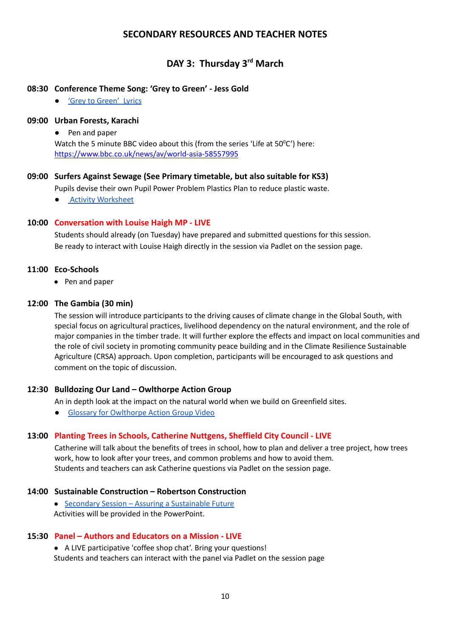# **SECONDARY RESOURCES AND TEACHER NOTES**

# **DAY 3: Thursday 3 rd March**

#### **08:30 Conference Theme Song: 'Grey to Green' - Jess Gold**

● 'Grey to [Green'](https://www.scesy.org.uk/wp-content/uploads/2022/02/Grey-to-Green-Lyircs-Chords.pdf) Lyrics

#### **09:00 Urban Forests, Karachi**

● Pen and paper

Watch the 5 minute BBC video about this (from the series 'Life at  $50^{\circ}$ C') here: <https://www.bbc.co.uk/news/av/world-asia-58557995>

#### **09:00 Surfers Against Sewage (See Primary timetable, but also suitable for KS3)**

Pupils devise their own Pupil Power Problem Plastics Plan to reduce plastic waste.

**Activity [Worksheet](https://www.scesy.org.uk/wp-content/uploads/2022/02/Surfers-Against-Sewage-Plastic-Free-Schools-Activity-Worksheet.pdf)** 

#### **10:00 Conversation with Louise Haigh MP - LIVE**

Students should already (on Tuesday) have prepared and submitted questions for this session. Be ready to interact with Louise Haigh directly in the session via Padlet on the session page.

#### **11:00 Eco-Schools**

● Pen and paper

#### **12:00 The Gambia (30 min)**

The session will introduce participants to the driving causes of climate change in the Global South, with special focus on agricultural practices, livelihood dependency on the natural environment, and the role of major companies in the timber trade. It will further explore the effects and impact on local communities and the role of civil society in promoting community peace building and in the Climate Resilience Sustainable Agriculture (CRSA) approach. Upon completion, participants will be encouraged to ask questions and comment on the topic of discussion.

#### **12:30 Bulldozing Our Land – Owlthorpe Action Group**

An in depth look at the impact on the natural world when we build on Greenfield sites.

● Glossary for [Owlthorpe](https://www.scesy.org.uk/wp-content/uploads/2022/02/Glossary-for-Owlthorpe-Action-Group-Video.docx.pdf) Action Group Video

#### **13:00 Planting Trees in Schools, Catherine Nuttgens, Sheffield City Council - LIVE**

Catherine will talk about the benefits of trees in school, how to plan and deliver a tree project, how trees work, how to look after your trees, and common problems and how to avoid them. Students and teachers can ask Catherine questions via Padlet on the session page.

#### **14:00 Sustainable Construction – Robertson Construction**

● Secondary Session – Assuring a [Sustainable](https://www.scesy.org.uk/wp-content/uploads/2022/02/Secondary-session-Assuring-a-Sustainable-Future-Robertson.pptx) Future Activities will be provided in the PowerPoint.

#### **15:30 Panel – Authors and Educators on a Mission - LIVE**

● A LIVE participative 'coffee shop chat'. Bring your questions!

Students and teachers can interact with the panel via Padlet on the session page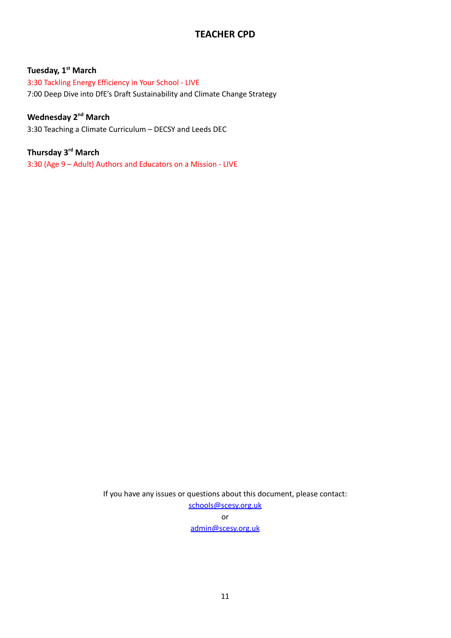# **TEACHER CPD**

#### **Tuesday, 1st March**

3:30 Tackling Energy Efficiency in Your School - LIVE 7:00 Deep Dive into DfE's Draft Sustainability and Climate Change Strategy

# **Wednesday 2nd March**

3:30 Teaching a Climate Curriculum – DECSY and Leeds DEC

# **Thursday 3rd March**

3:30 (Age 9 – Adult) Authors and Educators on a Mission - LIVE

If you have any issues or questions about this document, please contact: [schools@scesy.org.uk](mailto:schools@scesy.org.uk) or [admin@scesy.org.uk](mailto:admin@scesy.org.uk)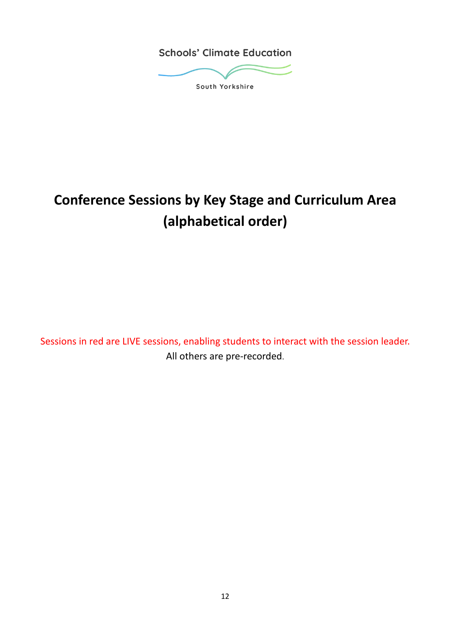**Schools' Climate Education** 



South Yorkshire

# **Conference Sessions by Key Stage and Curriculum Area (alphabetical order)**

Sessions in red are LIVE sessions, enabling students to interact with the session leader. All others are pre-recorded.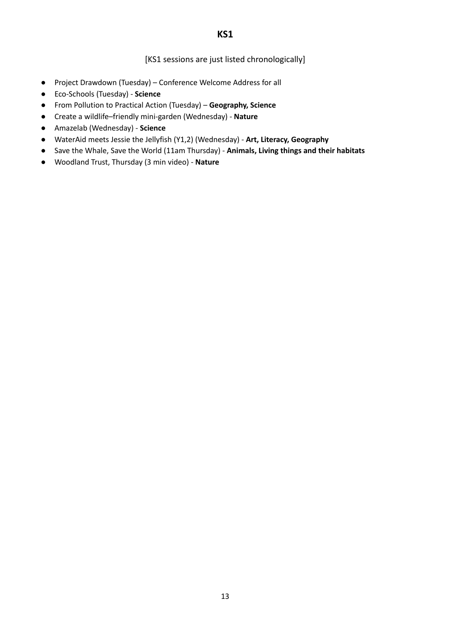[KS1 sessions are just listed chronologically]

- Project Drawdown (Tuesday) Conference Welcome Address for all
- Eco-Schools (Tuesday) **Science**
- From Pollution to Practical Action (Tuesday) **Geography, Science**
- **●** Create a wildlife–friendly mini-garden (Wednesday) **Nature**
- Amazelab (Wednesday) **Science**
- WaterAid meets Jessie the Jellyfish (Y1,2) (Wednesday) **Art, Literacy, Geography**
- Save the Whale, Save the World (11am Thursday) **Animals, Living things and their habitats**
- Woodland Trust, Thursday (3 min video) **Nature**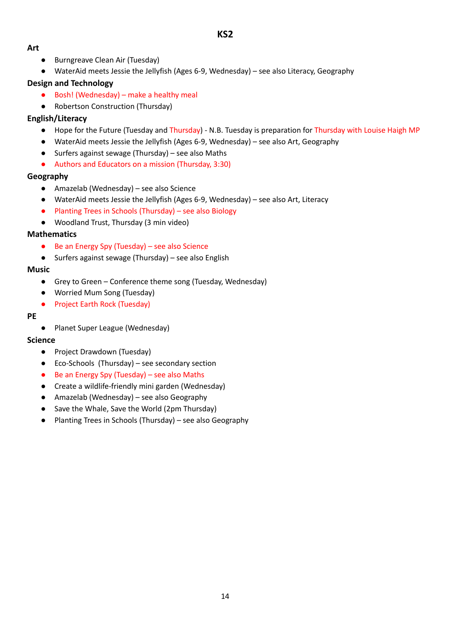#### **Art**

- Burngreave Clean Air (Tuesday)
- WaterAid meets Jessie the Jellyfish (Ages 6-9, Wednesday) see also Literacy, Geography

### **Design and Technology**

- Bosh! (Wednesday) make a healthy meal
- Robertson Construction (Thursday)

#### **English/Literacy**

- Hope for the Future (Tuesday and Thursday) N.B. Tuesday is preparation for Thursday with Louise Haigh MP
- WaterAid meets Jessie the Jellyfish (Ages 6-9, Wednesday) see also Art, Geography
- Surfers against sewage (Thursday) see also Maths
- Authors and Educators on a mission (Thursday, 3:30)

#### **Geography**

- Amazelab (Wednesday) see also Science
- WaterAid meets Jessie the Jellyfish (Ages 6-9, Wednesday) see also Art, Literacy
- Planting Trees in Schools (Thursday) see also Biology
- Woodland Trust, Thursday (3 min video)

#### **Mathematics**

- Be an Energy Spy (Tuesday) see also Science
- Surfers against sewage (Thursday) see also English

#### **Music**

- Grey to Green Conference theme song (Tuesday, Wednesday)
- Worried Mum Song (Tuesday)
- Project Earth Rock (Tuesday)

#### **PE**

● Planet Super League (Wednesday)

### **Science**

- Project Drawdown (Tuesday)
- Eco-Schools (Thursday) see secondary section
- Be an Energy Spy (Tuesday) see also Maths
- Create a wildlife-friendly mini garden (Wednesday)
- Amazelab (Wednesday) see also Geography
- Save the Whale, Save the World (2pm Thursday)
- Planting Trees in Schools (Thursday) see also Geography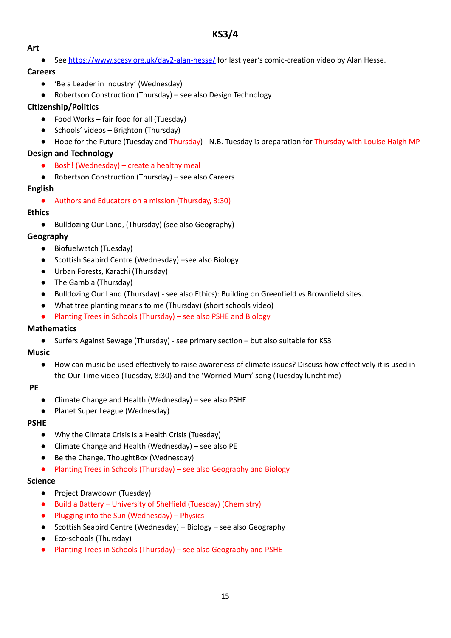# **KS3/4**

#### **Art**

● See <https://www.scesy.org.uk/day2-alan-hesse/> for last year's comic-creation video by Alan Hesse.

#### **Careers**

- 'Be a Leader in Industry' (Wednesday)
- Robertson Construction (Thursday) see also Design Technology

### **Citizenship/Politics**

- Food Works fair food for all (Tuesday)
- Schools' videos Brighton (Thursday)
- Hope for the Future (Tuesday and Thursday) N.B. Tuesday is preparation for Thursday with Louise Haigh MP

#### **Design and Technology**

- $\bullet$  Bosh! (Wednesday) create a healthy meal
- Robertson Construction (Thursday) see also Careers

#### **English**

● Authors and Educators on a mission (Thursday, 3:30)

#### **Ethics**

● Bulldozing Our Land, (Thursday) (see also Geography)

#### **Geography**

- Biofuelwatch (Tuesday)
- Scottish Seabird Centre (Wednesday) –see also Biology
- Urban Forests, Karachi (Thursday)
- The Gambia (Thursday)
- Bulldozing Our Land (Thursday) see also Ethics): Building on Greenfield vs Brownfield sites.
- What tree planting means to me (Thursday) (short schools video)
- Planting Trees in Schools (Thursday) see also PSHE and Biology

#### **Mathematics**

● Surfers Against Sewage (Thursday) - see primary section – but also suitable for KS3

#### **Music**

● How can music be used effectively to raise awareness of climate issues? Discuss how effectively it is used in the Our Time video (Tuesday, 8:30) and the 'Worried Mum' song (Tuesday lunchtime)

#### **PE**

- Climate Change and Health (Wednesday) see also PSHE
- Planet Super League (Wednesday)

#### **PSHE**

- Why the Climate Crisis is a Health Crisis (Tuesday)
- Climate Change and Health (Wednesday) see also PE
- Be the Change, ThoughtBox (Wednesday)
- Planting Trees in Schools (Thursday) see also Geography and Biology

#### **Science**

- Project Drawdown (Tuesday)
- Build a Battery University of Sheffield (Tuesday) (Chemistry)
- Plugging into the Sun (Wednesday) Physics
- Scottish Seabird Centre (Wednesday) Biology see also Geography
- Eco-schools (Thursday)
- Planting Trees in Schools (Thursday) see also Geography and PSHE